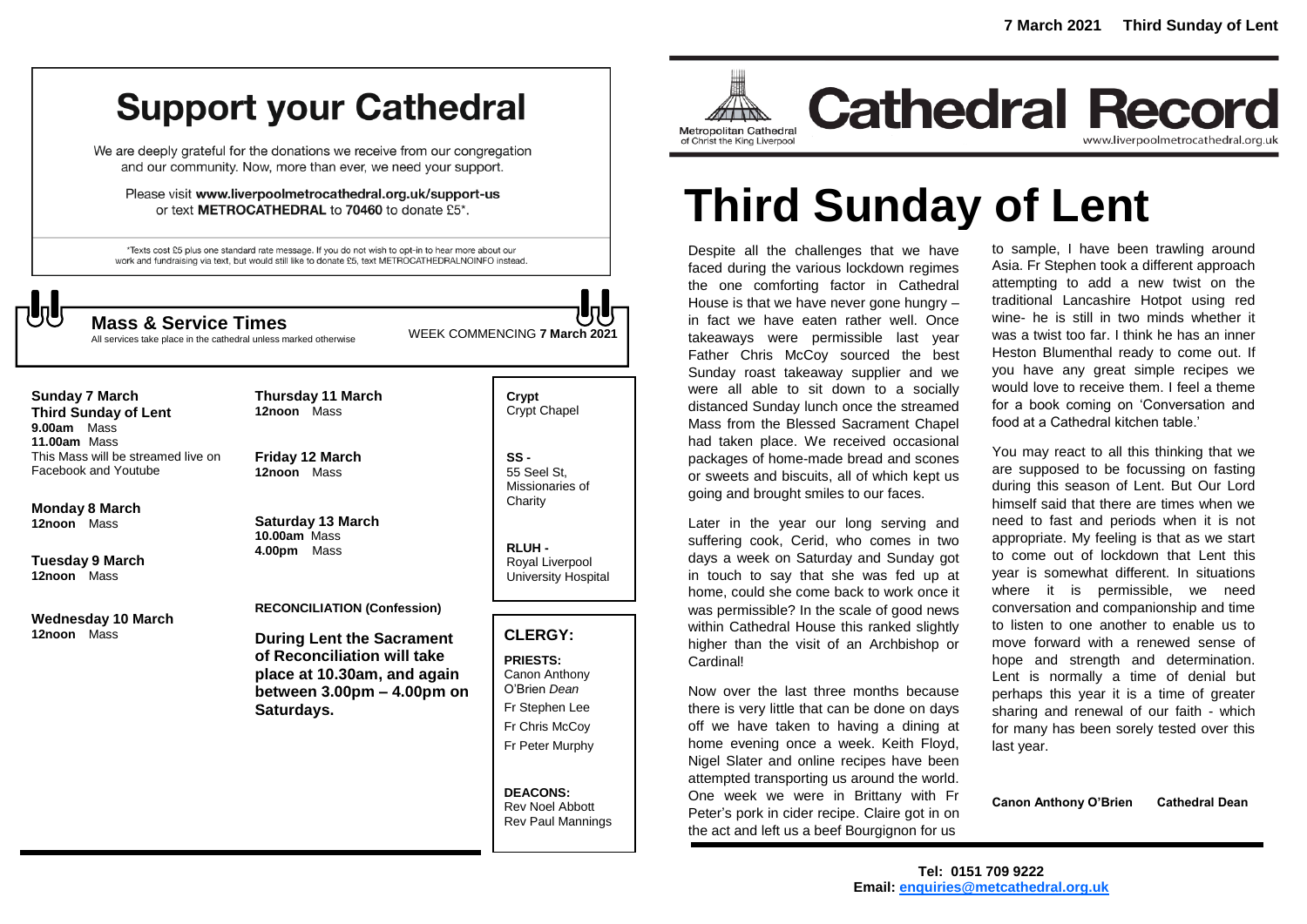# **Support your Cathedral**

We are deeply grateful for the donations we receive from our congregation and our community. Now, more than ever, we need your support.

Please visit www.liverpoolmetrocathedral.org.uk/support-us or text METROCATHEDRAL to 70460 to donate £5\*.

\*Texts cost £5 plus one standard rate message. If you do not wish to opt-in to hear more about our work and fundraising via text, but would still like to donate £5, text METROCATHEDRALNOINFO instead.



All services take place in the cathedral unless marked otherwise

WEEK COMMENCING **7 March <sup>2021</sup> Mass & Service Times**

**Sunday 7 March Third Sunday of Lent 9.00am** Mass **11.00am** Mass This Mass will be streamed live on Facebook and Youtube

**Monday 8 March 12noon** Mass

**Tuesday 9 March 12noon** Mass

**Wednesday 10 March 12noon** Mass

**12noon** Mass **Friday 12 March 12noon** Mass

**Thursday 11 March**

**Saturday 13 March 10.00am** Mass **4.00pm** Mass

#### **RECONCILIATION (Confession)**

**During Lent the Sacrament of Reconciliation will take place at 10.30am, and again between 3.00pm – 4.00pm on Saturdays.**

**Crypt**  Crypt Chapel

**SS -** 55 Seel St, Missionaries of **Charity** 

**RLUH -** Royal Liverpool University Hospital

# **CLERGY:**

**PRIESTS:** Canon Anthony O'Brien *Dean* Fr Stephen Lee Fr Chris McCoy Fr Peter Murphy

**DEACONS:** Rev Noel Abbott Rev Paul Mannings



**Cathedral Record** www.liverpoolmetrocathedral.org.uk

# **Third Sunday of Lent**

Despite all the challenges that we have faced during the various lockdown regimes the one comforting factor in Cathedral House is that we have never gone hungry – in fact we have eaten rather well. Once takeaways were permissible last year Father Chris McCoy sourced the best Sunday roast takeaway supplier and we were all able to sit down to a socially distanced Sunday lunch once the streamed Mass from the Blessed Sacrament Chapel had taken place. We received occasional packages of home-made bread and scones or sweets and biscuits, all of which kept us going and brought smiles to our faces.

Later in the year our long serving and suffering cook, Cerid, who comes in two days a week on Saturday and Sunday got in touch to say that she was fed up at home, could she come back to work once it was permissible? In the scale of good news within Cathedral House this ranked slightly higher than the visit of an Archbishop or Cardinal!

Now over the last three months because there is very little that can be done on days off we have taken to having a dining at home evening once a week. Keith Floyd, Nigel Slater and online recipes have been attempted transporting us around the world. One week we were in Brittany with Fr Peter's pork in cider recipe. Claire got in on the act and left us a beef Bourgignon for us

to sample, I have been trawling around Asia. Fr Stephen took a different approach attempting to add a new twist on the traditional Lancashire Hotpot using red wine- he is still in two minds whether it was a twist too far. I think he has an inner Heston Blumenthal ready to come out. If you have any great simple recipes we would love to receive them. I feel a theme for a book coming on 'Conversation and food at a Cathedral kitchen table.'

You may react to all this thinking that we are supposed to be focussing on fasting during this season of Lent. But Our Lord himself said that there are times when we need to fast and periods when it is not appropriate. My feeling is that as we start to come out of lockdown that Lent this year is somewhat different. In situations where it is permissible, we need conversation and companionship and time to listen to one another to enable us to move forward with a renewed sense of hope and strength and determination. Lent is normally a time of denial but perhaps this year it is a time of greater sharing and renewal of our faith - which for many has been sorely tested over this last year.

**Canon Anthony O'Brien Cathedral Dean**